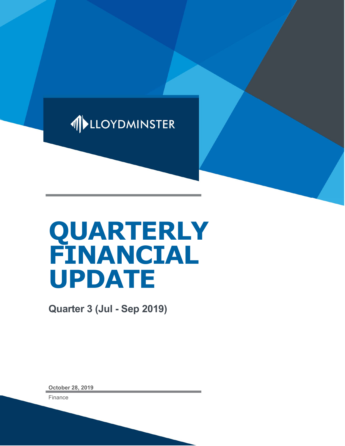

# QUARTERLY FINANCIAL UPDATE

Quarter 3 (Jul - Sep 2019)

October 28, 2019

Finance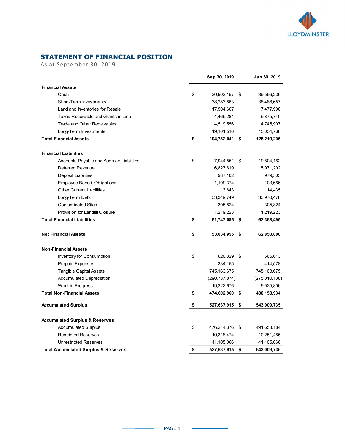

### STATEMENT OF FINANCIAL POSITION

| <b>STATEMENT OF FINANCIAL POSITION</b>                                   |                                  |                         |
|--------------------------------------------------------------------------|----------------------------------|-------------------------|
| As at September 30, 2019                                                 |                                  |                         |
|                                                                          | Sep 30, 2019                     | Jun 30, 2019            |
| <b>Financial Assets</b>                                                  |                                  |                         |
| Cash                                                                     | \$<br>20,903,157 \$              | 39,596,236              |
| Short-Term Investments                                                   | 38,283,863                       | 38,488,657              |
| Land and Inventories for Resale                                          | 17,504,667                       | 17,477,900              |
| Taxes Receivable and Grants in Lieu<br>Trade and Other Receivables       | 4,469,281<br>4,519,556           | 9,875,740<br>4,745,997  |
| Long-Term Investments                                                    | 19,101,516                       | 15,034,766              |
| <b>Total Financial Assets</b>                                            | \$<br>104,782,041 \$             | 125,219,295             |
|                                                                          |                                  |                         |
| <b>Financial Liabilities</b><br>Accounts Payable and Accrued Liabilities | \$<br>7,944,551 \$               |                         |
| Deferred Revenue                                                         | 6,827,619                        | 19,804,162<br>5,971,202 |
| Deposit Liabilities                                                      | 987,102                          | 979,505                 |
| <b>Employee Benefit Obligations</b>                                      | 1,109,374                        | 103,666                 |
| Other Current Liabilities                                                | 3,643                            | 14,435                  |
| Long-Term Debt                                                           | 33,349,749                       | 33,970,478              |
| <b>Contaminated Sites</b>                                                | 305,824                          | 305,824                 |
| Provision for Landfill Closure<br><b>Total Financial Liabilities</b>     | \$<br>1,219,223<br>51,747,085 \$ | 1,219,223<br>62,368,495 |
|                                                                          |                                  |                         |
| <b>Net Financial Assets</b>                                              | \$<br>53,034,955 \$              | 62,850,800              |
| <b>Non-Financial Assets</b>                                              |                                  |                         |
| Inventory for Consumption                                                | \$<br>620,329 \$                 | 565,013                 |
| Prepaid Expenses                                                         | 334,155                          | 414,578                 |
| <b>Tangible Capital Assets</b>                                           | 745, 163, 675                    | 745, 163, 675           |
| <b>Accumulated Depreciation</b>                                          | (290, 737, 874)                  | (275,010,138)           |
| Work in Progress                                                         | 19,222,676                       | 9,025,806               |
| <b>Total Non-Financial Assets</b>                                        | \$<br>474,602,960 \$             | 480,158,934             |
| <b>Accumulated Surplus</b>                                               | \$<br>527,637,915 \$             | 543,009,735             |
| <b>Accumulated Surplus &amp; Reserves</b>                                |                                  |                         |
| <b>Accumulated Surplus</b>                                               | \$<br>476,214,376 \$             | 491,653,184             |
| <b>Restricted Reserves</b>                                               | 10,318,474                       | 10,251,485              |
| <b>Unrestricted Reserves</b>                                             | 41,105,066                       | 41,105,066              |
| <b>Total Accumulated Surplus &amp; Reserves</b>                          | \$<br>527,637,915 \$             | 543,009,735             |

 $\sim$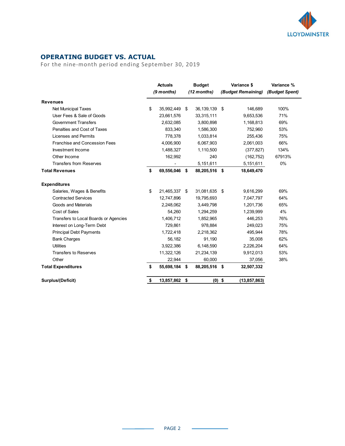

## OPERATING BUDGET VS. ACTUAL

|                                                     |    |                          |                 |                    | <b>LLOYDMINSTER</b> |
|-----------------------------------------------------|----|--------------------------|-----------------|--------------------|---------------------|
| <b>OPERATING BUDGET VS. ACTUAL</b>                  |    |                          |                 |                    |                     |
| For the nine-month period ending September 30, 2019 |    |                          |                 |                    |                     |
|                                                     |    |                          |                 |                    |                     |
|                                                     |    | <b>Actuals</b>           | <b>Budget</b>   | Variance \$        | Variance %          |
|                                                     |    | (9 months)               | (12 months)     | (Budget Remaining) | (Budget Spent)      |
| <b>Revenues</b>                                     |    |                          |                 |                    |                     |
| Net Municipal Taxes                                 | S  | 35,992,449 \$            | 36, 139, 139 \$ | 146,689            | 100%                |
| User Fees & Sale of Goods                           |    | 23,661,576               | 33,315,111      | 9,653,536          | 71%                 |
| <b>Government Transfers</b>                         |    | 2,632,085                | 3,800,898       | 1,168,813          | 69%                 |
| Penalties and Cost of Taxes                         |    | 833,340                  | 1,586,300       | 752,960            | 53%                 |
| Licenses and Permits                                |    | 778,378                  | 1,033,814       | 255,436            | 75%                 |
| Franchise and Concession Fees                       |    | 4,006,900                | 6,067,903       | 2,061,003          | 66%                 |
| Investment Income                                   |    | 1,488,327                | 1,110,500       | (377, 827)         | 134%                |
| Other Income                                        |    | 162,992                  | 240             | (162, 752)         | 67913%              |
| <b>Transfers from Reserves</b>                      |    | $\overline{\phantom{0}}$ | 5,151,611       | 5,151,611          | 0%                  |
| <b>Total Revenues</b>                               | £  | 69,556,046 \$            | 88,205,516 \$   | 18,649,470         |                     |
| <b>Expenditures</b>                                 |    |                          |                 |                    |                     |
| Salaries, Wages & Benefits                          | \$ | 21,465,337 \$            | 31,081,635 \$   | 9,616,299          | 69%                 |
| <b>Contracted Services</b>                          |    | 12,747,896               | 19,795,693      | 7,047,797          | 64%                 |
| Goods and Materials                                 |    | 2,248,062                | 3,449,798       | 1,201,736          | 65%                 |
| Cost of Sales                                       |    | 54,260                   | 1,294,259       | 1,239,999          | $4\%$               |
| Transfers to Local Boards or Agencies               |    | 1,406,712                | 1,852,965       | 446,253            | 76%                 |
| Interest on Long-Term Debt                          |    | 729,861                  | 978,884         | 249,023            | 75%                 |
| <b>Principal Debt Payments</b>                      |    | 1,722,418                | 2,218,362       | 495,944            | 78%                 |
| <b>Bank Charges</b>                                 |    | 56,182                   | 91,190          | 35,008             | 62%                 |
| Utilities                                           |    | 3,922,386                | 6,148,590       | 2,226,204          | 64%                 |
| <b>Transfers to Reserves</b>                        |    | 11,322,126               | 21,234,139      | 9,912,013          | 53%                 |
| Other                                               |    | 22,944                   | 60,000          | 37,056             | 38%                 |
|                                                     | \$ | 55,698,184 \$            | 88,205,516 \$   | 32,507,332         |                     |
| <b>Total Expenditures</b>                           |    |                          |                 |                    |                     |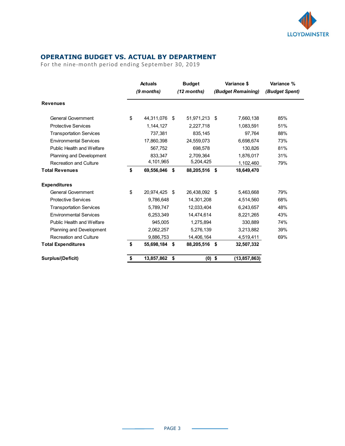

# OPERATING BUDGET VS. ACTUAL BY DEPARTMENT

| <b>OPERATING BUDGET VS. ACTUAL BY DEPARTMENT</b><br>For the nine-month period ending September 30, 2019 |    |                              |               |                              |          |                                   | <b>LLOYDMINSTER</b>          |
|---------------------------------------------------------------------------------------------------------|----|------------------------------|---------------|------------------------------|----------|-----------------------------------|------------------------------|
|                                                                                                         |    | <b>Actuals</b><br>(9 months) |               | <b>Budget</b><br>(12 months) |          | Variance \$<br>(Budget Remaining) | Variance %<br>(Budget Spent) |
| <b>Revenues</b>                                                                                         |    |                              |               |                              |          |                                   |                              |
| <b>General Government</b>                                                                               | \$ | 44,311,076 \$                |               | 51,971,213 \$                |          | 7,660,138                         | 85%                          |
| <b>Protective Services</b>                                                                              |    | 1,144,127                    |               | 2,227,718                    |          | 1,083,591                         | 51%                          |
| <b>Transportation Services</b>                                                                          |    | 737,381                      |               | 835,145                      |          | 97,764                            | 88%                          |
| <b>Environmental Services</b>                                                                           |    | 17,860,398                   |               | 24,559,073                   |          | 6,698,674                         | 73%                          |
| Public Health and Welfare                                                                               |    | 567,752                      |               | 698,578                      |          | 130,826                           | 81%                          |
| Planning and Development                                                                                |    | 833,347                      |               | 2,709,364                    |          | 1,876,017                         | 31%                          |
| <b>Recreation and Culture</b>                                                                           |    | 4,101,965                    |               | 5,204,425                    |          | 1,102,460                         | 79%                          |
| <b>Total Revenues</b>                                                                                   | S  | 69,556,046 \$                |               | 88,205,516 \$                |          | 18,649,470                        |                              |
| <b>Expenditures</b>                                                                                     |    |                              |               |                              |          |                                   |                              |
| <b>General Government</b>                                                                               | \$ | 20,974,425 \$                |               | 26,438,092 \$                |          | 5,463,668                         | 79%                          |
| <b>Protective Services</b>                                                                              |    | 9,786,648                    |               | 14,301,208                   |          | 4,514,560                         | 68%                          |
| <b>Transportation Services</b>                                                                          |    | 5,789,747                    |               | 12,033,404                   |          | 6,243,657                         | 48%                          |
| <b>Environmental Services</b>                                                                           |    | 6,253,349                    |               | 14,474,614                   |          | 8,221,265                         | 43%                          |
| Public Health and Welfare                                                                               |    | 945,005                      |               | 1,275,894                    |          | 330,889                           | 74%                          |
|                                                                                                         |    | 2,062,257                    |               | 5,276,139                    |          | 3,213,882                         | 39%                          |
| Planning and Development                                                                                |    | 9,886,753                    |               | 14,406,164                   |          | 4,519,411                         | 69%                          |
| <b>Recreation and Culture</b>                                                                           | \$ | 55,698,184 \$                |               | 88,205,516 \$                |          | 32,507,332                        |                              |
| <b>Total Expenditures</b>                                                                               |    |                              | 13,857,862 \$ |                              | $(0)$ \$ | (13, 857, 863)                    |                              |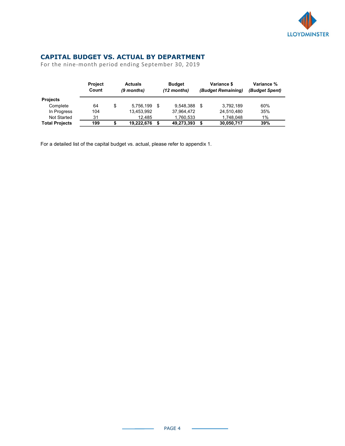

# CAPITAL BUDGET VS. ACTUAL BY DEPARTMENT

|                                                     |           |                               |                         |                               |                | <b>LLOYDMINSTER</b> |
|-----------------------------------------------------|-----------|-------------------------------|-------------------------|-------------------------------|----------------|---------------------|
|                                                     |           |                               |                         |                               |                |                     |
|                                                     |           |                               |                         |                               |                |                     |
|                                                     |           |                               |                         |                               |                |                     |
| <b>CAPITAL BUDGET VS. ACTUAL BY DEPARTMENT</b>      |           |                               |                         |                               |                |                     |
| For the nine-month period ending September 30, 2019 |           |                               |                         |                               |                |                     |
|                                                     |           |                               |                         |                               |                |                     |
|                                                     | Project   | <b>Actuals</b>                | <b>Budget</b>           | Variance \$                   | Variance %     |                     |
|                                                     | Count     | (9 months)                    | (12 months)             | (Budget Remaining)            | (Budget Spent) |                     |
| Projects                                            |           |                               |                         |                               |                |                     |
| Complete                                            | 64        | \$<br>5,756,199 \$            | 9,548,388 \$            | 3,792,189                     | 60%            |                     |
| In Progress                                         | 104       | 13,453,992                    | 37,964,472              | 24,510,480                    | 35%            |                     |
| Not Started<br><b>Total Projects</b>                | 31<br>199 | \$<br>12,485<br>19,222,676 \$ | 1,760,533<br>49,273,393 | \$<br>1,748,048<br>30,050,717 | 1%<br>39%      |                     |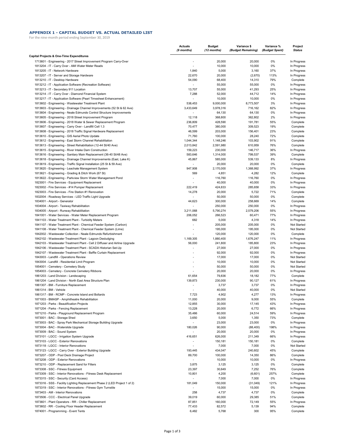#### **APPENDIX 1 - CAPITAL BUDGET VS. ACTUAL DETAILED LIST**

For the nine-month period ending September 30, 2019

|                                                                                          | <b>Actuals</b><br>(9 months) | Budget<br>(12 months) | Variance \$<br>(Budget Remaining) | Variance %<br>(Budget Spent) | Project<br><b>Status</b>   |
|------------------------------------------------------------------------------------------|------------------------------|-----------------------|-----------------------------------|------------------------------|----------------------------|
| Capital Projects & One-Time Expenditures                                                 |                              |                       |                                   |                              |                            |
| 1713601 - Engineering - 2017 Street Improvement Program Carry-Over                       |                              | 20,000                | 20,000                            | 0%                           | In Progress                |
| 1813204 - IT - Carry Over - AMI Water Meter Reads                                        |                              | 10,000                | 10,000                            | 0%                           | In Progress                |
| 1813205 - IT - Network Hardware                                                          | 1,840                        | 5,000                 | 3,160                             | 37%                          | In Progress                |
| 1813207 - IT - Server and Storage Hardware                                               | 22,670                       | 20,000                | (2,670)                           | 113%                         | In Progress                |
| 1813210 - IT - Desktop Hardware                                                          | 54,090                       | 68,400                | 14,310                            | 79%                          | Complete                   |
| 1813212 - IT - Application Software (Recreation Software)                                |                              | 55,000                | 55,000                            | 0%                           | In Progress                |
| 1813213 - IT - Secondary 911 Location                                                    | 13,707                       | 55,000                | 41,293                            | 25%                          | In Progress                |
| 1813214 - IT - Carry Over - Diamond Financial System                                     | 7,288                        | 52,000                | 44,712                            | 14%                          | In Progress                |
| 1813217 - IT - Application Software (Pearl Timesheet Enhancement)                        |                              | 10,000                | 10,000                            | 0%                           | In Progress                |
| 1813602 - Engineering - Wastewater Treatment Plant                                       | 538,453                      | 9,000,000             | 8,773,507                         | 3%                           | In Progress                |
| 1813603 - Engineering - Drainage Channel Improvements (52 St & 62 Ave)                   | 3,433,649                    | 3,978,316             | 716,162                           | 82%                          | In Progress                |
| 1813604 - Engineering - Neale Edmunds Control Structure Improvements                     |                              | 64,130                | 64,130                            | 0%                           | In Progress                |
| 1813605 - Engineering - 2018 Street Improvement Program                                  | 12,118                       | 368,800               | 362,802                           | 2%                           | In Progress                |
| 1813606 - Engineering - 2018 Water & Sewer Replacement Program                           | 236,809                      | 428,590               | 191,781                           | 55%                          | Complete                   |
| 1813607 - Engineering - Carry Over - Landfill Cell 1.3                                   | 70,477                       | 380,000               | 309,523                           | 19%                          | Complete                   |
| 1813608 - Engineering - 2018 Traffic Signal Hardware Replacement                         | 46,599                       | 203,000               | 156,401                           | 23%                          | Complete                   |
| 1813610 - Engineering - GIS Aerial Photo Update                                          | 71,760                       | 100,000               | 28,240                            | 72%                          | Complete                   |
| 1813612 - Engineering - East Storm Channel Rehabilitation                                | 1,044,344                    | 1,148,246             | 103,902                           | 91%                          | Complete                   |
| 1813613 - Engineering - Street Rehabilitation (12-44 St/40 Ave)                          | 2,013,842                    | 2,591,980             | 610,959                           | 76%                          | Complete                   |
| 1813615 - Engineering - River Intake Dam Construction                                    | 159,223                      | 230,000               | 146,717                           | 36%                          | In Progress                |
| 1813616 - Engineering - Sanitary Main Replacement (36-40 St/48 Ave)                      | 583,646                      | 1,314,000             | 799,537                           | 39%                          | Complete                   |
| 1813618 - Engineering - Drainage Channel Improvements (East, Lake K)                     | 45,867                       | 585,000               | 539,133                           | 8%                           | In Progress                |
| 1813619 - Engineering - Traffic Signal Installation (25 St & 59 Ave)                     | $\sim$                       | 20,000                | 20,000                            | 0%                           | Complete                   |
| 1813620 - Engineering - Leachate Management System                                       | 947,908                      | 2,170,000             | 1,368,992                         | 37%                          | In Progress                |
| 1813621 - Engineering - Grading & Ditch Work (67 St)                                     | 569                          | 4,851                 | 4,282                             | 12%                          | Complete                   |
| 1813622 - Engineering - Parkview Storm Water Management Pond                             | $\overline{a}$               | 116,760               | 116,760                           | 0%                           | In Progress                |
| 1823001 - Fire Services - Equipment Replacement                                          |                              | 40,000                | 40,000                            | 0%                           | In Progress                |
| 1823002 - Fire Services - #14 Pumper Replacement                                         | 222,419                      | 424,833               | 285,658                           | 33%                          | In Progress                |
| 1823003 - Fire Services - Fire Station #1 Renovation                                     | 14,278                       | 20,000                | 5,722                             | 71%                          | Complete                   |
| 1832004 - Roadway Services - LED Traffic Light Upgrade                                   |                              | 50,000                | 50,000                            | 0%                           | Complete                   |
| 1834001 - Airport - Generator                                                            | 44,623                       | 300,000               | 258,669                           | 14%                          | Complete                   |
| 1834004 - Airport - Taxiway Rehabilitation                                               |                              | 250,000               | 250,000                           | 0%                           | In Progress                |
| 1834005 - Airport - Runway Rehabilitation                                                | 3,211,068                    | 5,790,274             | 2,579,206                         | 55%                          | In Progress                |
| 1841001 - Water Services - Water Meter Replacement Program                               | 206,052                      | 266,523               | 60,471                            | 77%                          | In Progress                |
| 1841103 - Water Treatment Plant - Turbidity Meters                                       | 682                          | 5,000                 | 4,318                             | 14%                          | In Progress                |
| 1841107 - Water Treatment Plant - Chemical Feeder System (Carbon)                        |                              | 205,000               | 205,000                           | 0%                           | Not Started                |
| 1841108 - Water Treatment Plant - Chemical Feeder System (Lime)                          |                              | 195,000               | 195,000                           | 0%                           | Not Started                |
|                                                                                          |                              |                       |                                   | 0%                           |                            |
| 1842002 - Wastewater Collection - Neale Edmunds Refurbishment                            | 1,169,305                    | 120,000               | 120,000<br>1,676,247              | 11%                          | Complete                   |
| 1842102 - Wastewater Treatment Plant - Lagoon Desludging                                 | 56,000                       | 1,880,400             | 185,800                           | 23%                          | In Progress                |
| 1842103 - Wastewater Treatment Plant - Cell 2 Diffuser and Airline Upgrade               |                              | 241,800               | 27,000                            | 0%                           | In Progress                |
| 1842106 - Wastewater Treatment Plant - SCADA Historian Set-Up                            |                              | 27,000                |                                   | 0%                           | In Progress                |
| 1842107 - Wastewater Treatment Plant - Baffle Curtain Replacement                        |                              | 92,000                | 92,000<br>17,000                  | 0%                           | In Progress<br>Not Started |
| 1843003 - Landfill - Operations Review<br>1843004 - Landfill - Residential Limit Program |                              | 17,000<br>10,000      | 10,000                            | 0%                           | Not Started                |
|                                                                                          |                              |                       |                                   |                              |                            |
| 1854001 - Cemetery - Cemetery Study                                                      |                              | 50,000                | 50,000                            | 0%                           | Not Started                |
| 1854003 - Cemetery - Concrete Cemetery Ribbons                                           |                              | 20,000                | 20,000                            | 0%                           | In Progress                |
| 1861203 - Land Division - Landscaping                                                    | 61,654                       | 79,836                | 18,182                            | 77%                          | Complete                   |
| 1861204 - Land Division - North East Area Structure Plan                                 | 139,873                      | 230,000               | 90,127                            | 61%                          | In Progress                |
| 1861307 - BM - Furniture Replacement                                                     |                              | 3,737                 | 3,737                             | 0%                           | In Progress                |
| 1861314 - BM - Vehicle                                                                   |                              | 40,000                | 40,000                            | 0%                           | Not Started                |
| 1861317 - BM - RCMP - Concrete Island and Bollards                                       | 7,723                        | 4,902                 | 4,277                             | 13%                          | In Progress                |
| 1871003 - BMASP - Amphitheatre Rehabilitation                                            | 11,000                       | 20,000                | 9,000                             | 55%                          | Complete                   |
| 1871203 - Parks - Beautification Projects                                                | 12,855                       | 30,000                | 17,145                            | 43%                          | In Progress                |
| 1871204 - Parks - Fencing Replacement                                                    | 13,228                       | 20,000                | 6,772                             | 66%                          | In Progress                |
| 1871210 - Parks - Playground Replacement Program                                         | 35,486                       | 60,000                | 24,514                            | 59%                          | In Progress                |
| 1873001 - BAC - Storage Shed                                                             | 3,650                        | 5,000                 | 1,350                             | 73%                          | Complete                   |
| 1873003 - BAC - Spray Park Mechanical Storage Building Upgrade                           |                              | 23,000                | 23,000                            | 0%                           | In Progress                |
| 1873004 - BAC - Waterslide Upgrade                                                       | 180,026                      | 90,000                | (88, 400)                         | 198%                         | In Progress                |
| 1873009 - BAC - Sound System                                                             |                              | 20,000                | 20,000                            | 0%                           | In Progress                |
| 1873101 - LGCC - Irrigation System Upgrade                                               | 416,651                      | 626,000               | 211,349                           | 66%                          | In Progress                |
| 1873103 - LGCC - Exterior Renovations                                                    |                              | 150,181               | 150,181                           | 0%                           | Complete                   |
| 1873118 - LGCC - Interior Renovations                                                    |                              | 7,000                 | 7,000                             | 0%                           | Not Started                |
| 1873123 - LGCC - Carry Over - Exterior Building Upgrade                                  | 193,445                      | 434,047               | 240,602                           | 45%                          | Complete                   |
| 1873207 - ODP - Pool Deck Drainage Project                                               | 89,700                       | 100,000               | 14,350                            | 86%                          | Complete                   |
| 1873208 - ODP - Exterior Renovations                                                     | $\sim$                       | 10,000                | 10,000                            | 0%                           | In Progress                |
| 1873210 - ODP - Replacement Sand for Filters                                             | 3,875                        | 3,125                 | 3,125                             | 0%                           | Complete                   |
| 1873308 - SSC - Fitness Equipment                                                        | 23,397                       | 30,649                | 7,252                             | 76%                          | Complete                   |
| 1873309 - SSC - Interior Renovations - Fitness Desk Replacement                          | 10,801                       | 4,200                 | (6,601)                           | 257%                         | Complete                   |
| 1873315 - SSC - Security (Card Access)                                                   |                              | 7,000                 | 7,000                             | 0%                           | In Progress                |
| 1873316 - SSS - Facility Lighting Replacement Phase 2 (LED Project 1 of 2)               | 181,049                      | 150,000               | (31,049)                          | 121%                         | In Progress                |
| 1873319 - SSC - Interior Renovations - Fitness Gym Turnstile                             |                              | 15,000                | 15,000                            | 0%                           | In Progress                |
| 1873403 - AM - Interior Renovations                                                      | 258                          | 4,737                 | 4,737                             | 0%                           | Complete                   |
| 1873506 - CCC - Electrical Panel Upgrade                                                 | 39,019                       | 60,000                | 29,385                            | 51%                          | Complete                   |
| 1873601 - Plant Operators - RR - Chiller Replacement                                     | 87,851                       | 160,000               | 72,149                            | 55%                          | In Progress                |
| 1873602 - RR - Cooling Floor Header Replacement                                          | 77,433                       | 82,572                | 5,139                             | 94%                          | Complete                   |
| 1874001 - Programming - Event Tents                                                      | 6,482                        | 5,768                 | 300                               | 95%                          | Complete                   |
|                                                                                          |                              |                       |                                   |                              |                            |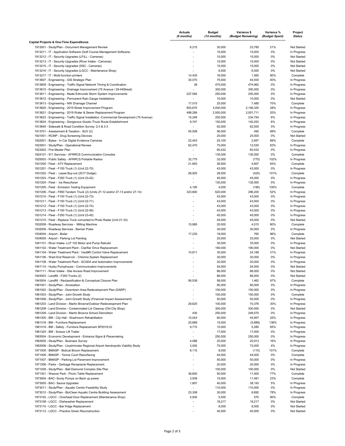|                                                                                          | <b>Actuals</b><br>(9 months) | <b>Budget</b><br>(12 months) | Variance \$<br>(Budget Remaining) | Variance %<br>(Budget Spent) | Project<br><b>Status</b> |
|------------------------------------------------------------------------------------------|------------------------------|------------------------------|-----------------------------------|------------------------------|--------------------------|
| Capital Projects & One-Time Expenditures                                                 |                              |                              |                                   |                              |                          |
| 1912001 - Study/Plan - Document Management Review                                        | 6,215                        | 30,000                       | 23,785                            | 21%                          | Not Started              |
| 1913211 - IT - Application Software (Golf Course Management Software)                    |                              | 15,000                       | 15,000                            | 0%                           | In Progress              |
| 1913212 - IT - Security Upgrades (LFILL - Cameras)                                       | $\sim$                       | 15,000                       | 15,000                            | 0%                           | Not Started              |
| 1913213 - IT - Security Upgrades (River Intake - Cameras)                                |                              | 15,000                       | 15,000                            | 0%                           | Not Started              |
| 1913215 - IT - Security Upgrades (SSC - Cameras)                                         | $\overline{\phantom{a}}$     | 15,000                       | 15,000                            | 0%                           | Not Started              |
| 1913216 - IT - Security Upgrades (LGCC - Maintenance Shop)                               |                              | 6,500                        | 6,500                             | 0%                           | Not Started              |
| 1913217 - IT - Multi-function printers                                                   | 14,435                       | 16,000                       | 1,565                             | 90%                          | Complete                 |
| 1913607 - Engineering - GIS Strategic Plan                                               | 30,070                       | 75,000                       | 44,930                            | 40%                          | In Progress              |
| 1913609 - Engineering - Traffic Signal Network Timing & Coordination                     | 38                           | 475,000                      | 474,962                           | 0%                           | In Progress              |
| 1913610 - Engineering - Drainage Improvement (75 Avenue / 29-44Street)                   |                              | 300,000                      | 300,000                           | 0%                           | In Progress              |
| 1913611 - Engineering - Neale Edmunds Storm System Improvements                          | 227,594                      | 250,000                      | 250,000                           | 0%                           | In Progress              |
| 1913612 - Engineering - Permanent Rain Gauge Installations                               |                              | 10,000                       | 10,000                            | 0%                           | Not Started              |
| 1913613 - Engineering - NW Drainage Channel                                              | 17,515                       | 25,000                       | 7,485                             | 70%                          | Complete                 |
| 1913620 - Engineering - 2019 Street Improvement Program                                  | 853,675                      | 3,000,000                    | 2,146,325                         | 28%                          | In Progress              |
| 1913621 - Engineering - 2019 Water & Sewer Replacement Program                           | 498,289                      | 2,500,000                    | 2,001,711                         | 20%                          | In Progress              |
| 1913623 - Engineering - Traffic Signal Installation - Commercial Development (75 Avenue) | 15,246                       | 250,000                      | 234,754                           | 6%                           | In Progress              |
| 1913624 - Engineering - Dangerous Goods /Truck Route Establishment                       | 9,747                        | 150,000                      | 140,253                           | 6%                           | In Progress              |
| 1913640 - Sidewalk & Road Condition Survey: 2-3 & 3-3                                    | $\overline{\phantom{a}}$     | 62,000                       | 62,000                            | 0%                           | In Progress              |
| 1913701 - Assessment & Taxation - SUV (2)                                                | 55,508                       | 56,000                       | 492                               | 99%                          | Complete                 |
| 1921001 - RCMP - Drug Screening Devices                                                  | $\tilde{\phantom{a}}$        | 25,000                       | 25,000                            | 0%                           | Not Started              |
| 1922001 - Bylaw - In Car Digital Evidence Cameras                                        | 22,443                       | 25,100                       | 2,657                             | 89%                          | Complete                 |
| 1923001 - Study/Plan - Operational Review                                                | 62,470                       | 75,000                       | 12,530                            | 83%                          | In Progress              |
| 1923002 - Fire Master Plan                                                               | $\overline{\phantom{a}}$     | 60,432                       | 60,432                            | 0%                           | In Progress              |
| 1924101 - 911 Services - AFRRCS Communication Consoles                                   | $\sim$                       | 135,000                      | 135,000                           | 0%                           | Complete                 |
| 1925003 - Public Safety - AFRRCS Portable Radios                                         | 32,775                       | 32,000                       | (775)                             | 102%                         | In Progress              |
| 1931200 - Fleet - ATV Replacement                                                        | 21,893                       | 26,500                       | 4,607                             | 83%                          | Complete                 |
| 1931201 - Fleet - F150 Truck (1) (Unit 22-70)                                            | $\overline{\phantom{a}}$     | 43,000                       | 43,000                            | 0%                           | In Progress              |
| 1931202 - Fleet - Lease Buy-out (2017 Dodge)                                             | 28,925                       | 28,500                       | (425)                             | 101%                         | Complete                 |
| 1931203 - Fleet - F250 Truck (1) (Unit 23-42)                                            |                              | 45,000                       | 45,000                            | 0%                           | In Progress              |
| 1931204 - Fleet - Ice Resurfacer                                                         |                              | 135,000                      | 135,000                           | 0%                           | In Progress              |
| 1931205 - Fleet - Emission Testing Equipment                                             | 4,195                        | 4,000                        | (195)                             | 105%                         | Complete                 |
| 1931206 - Fleet - F850 Tandem Truck (2) (Units 27-12 and/or 27-13 and/or 27-14)          | 323,800                      | 620,000                      | 296,200                           | 52%                          | In Progress              |
| 1931210 - Fleet - F150 Truck (1) (Unit 22-73)                                            |                              | 43,000                       | 43,000                            | 0%                           | In Progress              |
| 1931211 - Fleet - F150 Truck (1) (Unit 22-71)                                            | $\sim$                       | 43,000                       | 43,000                            | 0%                           | In Progress              |
| 1931212 - Fleet - F150 Truck (1) (Unit 22-74)                                            |                              | 43,000                       | 43,000                            | 0%                           | In Progress              |
| 1931213 - Fleet - F150 Truck (1) (Unit 22-56)                                            |                              | 43,000                       | 43,000                            | 0%                           | In Progress              |
| 1931214 - Fleet - F250 Truck (1) (Unit 23-45)                                            |                              | 45,000                       | 45,000                            | 0%                           | In Progress              |
| 1931215 - Fleet - Replace Truck converted to Photo Radar (Unit 21-33)                    |                              | 45,000                       | 45,000                            | 0%                           | Not Started              |
| 1932008 - Roadway Services - Milling Machine                                             | 15,985                       | 20,000                       | 4,015                             | 80%                          | Complete                 |
| 1932009 - Roadway Services - Banner Poles                                                | $\overline{\phantom{a}}$     | 30,000                       | 30,000                            | 0%                           | In Progress              |
| 1934004 - Airport - Boiler                                                               | 17,235                       | 18,000                       | 765                               | 96%                          | Complete                 |
| 1934005 - Airport - Parking Lot Painting                                                 |                              | 25,000                       | 25,000                            | 0%                           | Not Started              |
| 1941101 - River Intake- LLP 102 Motor and Pump Rebuild                                   | $\overline{\phantom{a}}$     | 35,000                       | 35,000                            | 0%                           | In Progress              |
| 1941102 - Water Treatment Plant - Clarifier Drive Replacement                            |                              | 190,000                      | 190,000                           | 0%                           | Not Started              |
| 1941104 - Water Treatment Plant - Vault#5 Control Valve Replacement                      | 10,811                       | 35,000                       | 24,189                            | 31%                          | In Progress              |
| 1941106 - West End Reservoir - Chlorine System Replacement                               |                              | 30,000                       | 30,000                            | 0%                           | In Progress              |
| 1941108 - Water Treatment Plant - SCADA and Automation Improvements                      | $\blacksquare$               | 20,000                       | 20,000                            | 0%                           | In Progress              |
| 1941110 - Husky Pumphouse - Communication Improvements                                   |                              | 54,000                       | 54,000                            | 0%                           | Not Started              |
| 1941111 - River Intake - Site Access Road Improvement                                    |                              | 86,000                       | 86,000                            | 0%                           | Not Started              |
| 1943003 - Landfill - F250 Trucks (2)                                                     |                              | 86,000                       | 86,000                            | 0%                           | Not Started              |
| 1943004 - Landfill - Reclassification & Conceptual Closure Plan                          | 56,538                       | 58,000                       | 1,462                             | 97%                          | Complete                 |
| 1961001 - Study/Plan - Annexation                                                        |                              | 90,000                       | 90,000                            | 0%                           | In Progress              |
| 1961002 - Study/Plan - Downtown Area Redevelopment Plan (DARP)                           | $\overline{\phantom{a}}$     | 150,000                      | 150,000                           | 0%                           | In Progress              |
| 1961003 - Study/Plan - Joint Growth Study                                                |                              | 100,000                      | 100,000                           | 0%                           | Complete                 |
| 1961006 - Study/Plan - Joint Growth Study (Financial Impact Assessment)                  |                              | 50,000                       | 50,000                            | 0%                           | In Progress              |
| 1961203 - Land Division - Martin Browne/Outdoor Redevelopment Plan                       | 29,625                       | 100,000                      | 70,376                            | 30%                          | In Progress              |
| 1961208 - Land Division - Contaminated Lot Cleanup (Old City Shop)                       | $\overline{\phantom{a}}$     | 300,000                      | 300,000                           | 0%                           | Not Started              |
| 1961209 - Land Division - Martin Browne School Demolition                                | 430                          | 250,000                      | 249,570                           | 0%                           | In Progress              |
| 1961305 - BM - City Hall - Washroom Rehabilitation                                       | 15,043                       | 60,000                       | 44,957                            | 25%                          | In Progress              |
| 1961318 - BM - Furniture Replacement                                                     | 20,689                       | 15,000                       | (5,689)                           | 138%                         | In Progress              |
| 1961319 - BM - Safety - Furniture Replacement SP2019.03                                  | 9,715                        | 15,000                       | 5,285                             | 65%                          | In Progress              |
| 1961325 - BM - Scissor Lift Trailer                                                      | $\overline{\phantom{a}}$     | 17,000                       | 17,000                            | 0%                           | In Progress              |
| 1963004 - Economic Development - Entrance Signs & Placemaking                            | $\overline{\phantom{a}}$     | 250,000                      | 250,000                           | 0%                           | In Progress              |
| 1963005 - Study/Plan - Business Survey                                                   | 4,088                        | 25,000                       | 20,913                            | 16%                          | In Progress              |
| 1963006 - Study/Plan - Lloydminster Regional Airport Aerotropolis Viability Study        | 3,000                        | 75,000                       | 72,000                            | 4%                           | In Progress              |
| 1971005 - BMASP - Bobcat Broom Replacement                                               | 8,115                        | 8,000                        | (115)                             | 101%                         | Complete                 |
| 1971006 - BMASP - Tennis Court Resurfacing                                               |                              | 44,000                       | 44,000                            | 0%                           | Complete                 |
| 1971007 - BMASP - Parking Lot Pavement Improvement                                       | $\blacksquare$               | 50,000                       | 50,000                            | 0%                           | In Progress              |
| 1971206 - Parks - Garbage Receptacle Replacement.                                        |                              | 20,000                       | 20,000                            | 0%                           | In Progress              |
| 1971209 - Study/Plan - Ball Diamond Complex Site Plan                                    |                              | 100,000                      | 100,000                           | 0%                           | Not Started              |
| 1971301 - Weaver Park - Picnic Table Replacement                                         | 38,600                       | 50,000                       | 11,400                            | 77%                          | Complete                 |
| 1973004 - BAC- Sump Pumps on Back up power                                               | 3,509                        | 15,000                       | 11,491                            | 23%                          | Complete                 |
| 1973005 - BAC- Sauna Upgrades                                                            | 1,807                        | 40,000                       | 38,193                            | 5%                           | In Progress              |
| 1973011 - Study/Plan - Aquatic Centre Feasibility Study                                  |                              | 110,000                      | 110,000                           | 0%                           | In Progress              |
| 1973012 - Study/Plan - BioClean Aquatic Centre Building Assessment                       | 23,308                       | 30,000                       | 6,692                             | 78%                          | In Progress              |
| 1973102 - LGCC - Overhead Door Replacement (Maintenance Shop)                            | 4,930                        | 5,500                        | 570                               | 90%                          | Complete                 |
| 1973108 - LGCC - Dishwasher Replacement                                                  |                              | 18,217                       | 18,217                            | 0%                           | Not Started              |
| 1973110 - LGCC - Bar fridge Replacement                                                  | $\overline{\phantom{a}}$     | 8,000                        | 8,000                             | 0%                           | Not Started              |
| 1973112 - LGCC - Practice Green Reconstruction                                           | $\overline{\phantom{a}}$     | 40,000                       | 40,000                            | 0%                           | Not Started              |